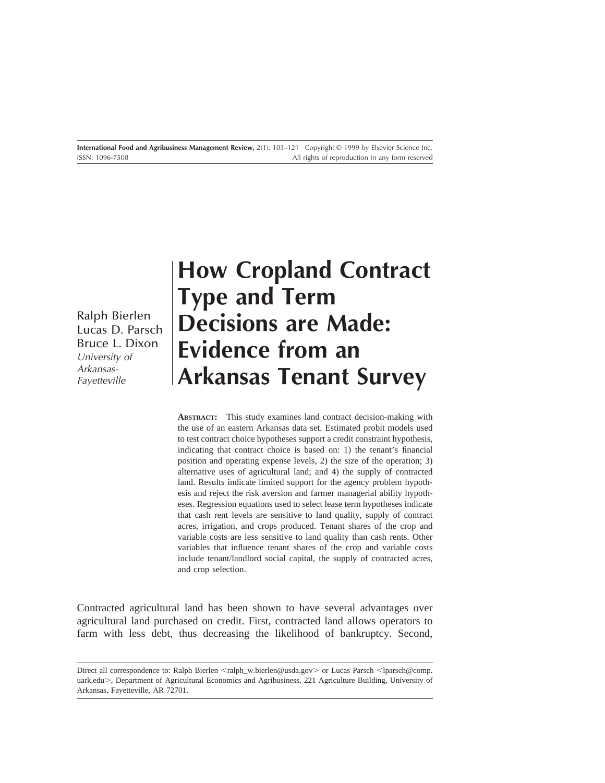**International Food and Agribusiness Management Review,** 2(1): 103–121 Copyright © 1999 by Elsevier Science Inc. ISSN: 1096-7508 All rights of reproduction in any form reserved

Ralph Bierlen Lucas D. Parsch Bruce L. Dixon University of Arkansas-Fayetteville

# **How Cropland Contract Type and Term Decisions are Made: Evidence from an Arkansas Tenant Survey**

**ABSTRACT:** This study examines land contract decision-making with the use of an eastern Arkansas data set. Estimated probit models used to test contract choice hypotheses support a credit constraint hypothesis, indicating that contract choice is based on: 1) the tenant's financial position and operating expense levels, 2) the size of the operation; 3) alternative uses of agricultural land; and 4) the supply of contracted land. Results indicate limited support for the agency problem hypothesis and reject the risk aversion and farmer managerial ability hypotheses. Regression equations used to select lease term hypotheses indicate that cash rent levels are sensitive to land quality, supply of contract acres, irrigation, and crops produced. Tenant shares of the crop and variable costs are less sensitive to land quality than cash rents. Other variables that influence tenant shares of the crop and variable costs include tenant/landlord social capital, the supply of contracted acres, and crop selection.

Contracted agricultural land has been shown to have several advantages over agricultural land purchased on credit. First, contracted land allows operators to farm with less debt, thus decreasing the likelihood of bankruptcy. Second,

Direct all correspondence to: Ralph Bierlen <ralph\_w.bierlen@usda.gov> or Lucas Parsch <lparsch@comp. uark.edu., Department of Agricultural Economics and Agribusiness, 221 Agriculture Building, University of Arkansas, Fayetteville, AR 72701.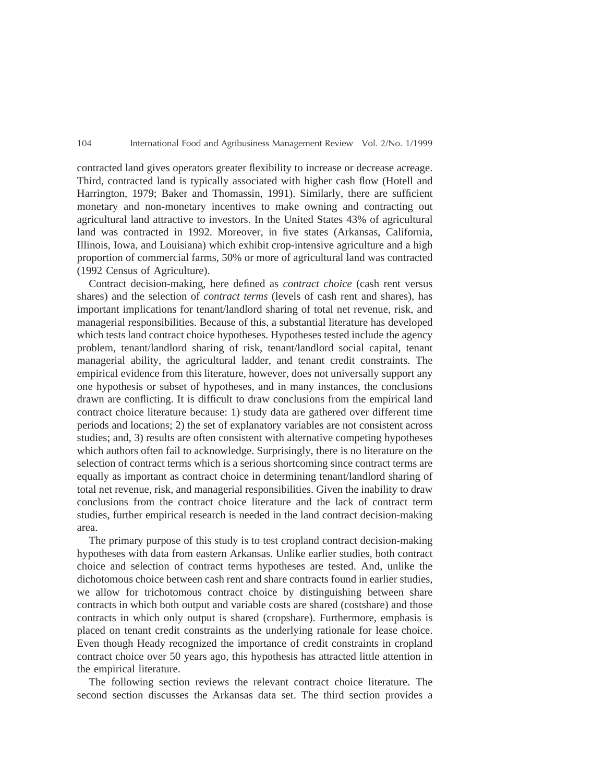contracted land gives operators greater flexibility to increase or decrease acreage. Third, contracted land is typically associated with higher cash flow (Hotell and Harrington, 1979; Baker and Thomassin, 1991). Similarly, there are sufficient monetary and non-monetary incentives to make owning and contracting out agricultural land attractive to investors. In the United States 43% of agricultural land was contracted in 1992. Moreover, in five states (Arkansas, California, Illinois, Iowa, and Louisiana) which exhibit crop-intensive agriculture and a high proportion of commercial farms, 50% or more of agricultural land was contracted (1992 Census of Agriculture).

Contract decision-making, here defined as *contract choice* (cash rent versus shares) and the selection of *contract terms* (levels of cash rent and shares), has important implications for tenant/landlord sharing of total net revenue, risk, and managerial responsibilities. Because of this, a substantial literature has developed which tests land contract choice hypotheses. Hypotheses tested include the agency problem, tenant/landlord sharing of risk, tenant/landlord social capital, tenant managerial ability, the agricultural ladder, and tenant credit constraints. The empirical evidence from this literature, however, does not universally support any one hypothesis or subset of hypotheses, and in many instances, the conclusions drawn are conflicting. It is difficult to draw conclusions from the empirical land contract choice literature because: 1) study data are gathered over different time periods and locations; 2) the set of explanatory variables are not consistent across studies; and, 3) results are often consistent with alternative competing hypotheses which authors often fail to acknowledge. Surprisingly, there is no literature on the selection of contract terms which is a serious shortcoming since contract terms are equally as important as contract choice in determining tenant/landlord sharing of total net revenue, risk, and managerial responsibilities. Given the inability to draw conclusions from the contract choice literature and the lack of contract term studies, further empirical research is needed in the land contract decision-making area.

The primary purpose of this study is to test cropland contract decision-making hypotheses with data from eastern Arkansas. Unlike earlier studies, both contract choice and selection of contract terms hypotheses are tested. And, unlike the dichotomous choice between cash rent and share contracts found in earlier studies, we allow for trichotomous contract choice by distinguishing between share contracts in which both output and variable costs are shared (costshare) and those contracts in which only output is shared (cropshare). Furthermore, emphasis is placed on tenant credit constraints as the underlying rationale for lease choice. Even though Heady recognized the importance of credit constraints in cropland contract choice over 50 years ago, this hypothesis has attracted little attention in the empirical literature.

The following section reviews the relevant contract choice literature. The second section discusses the Arkansas data set. The third section provides a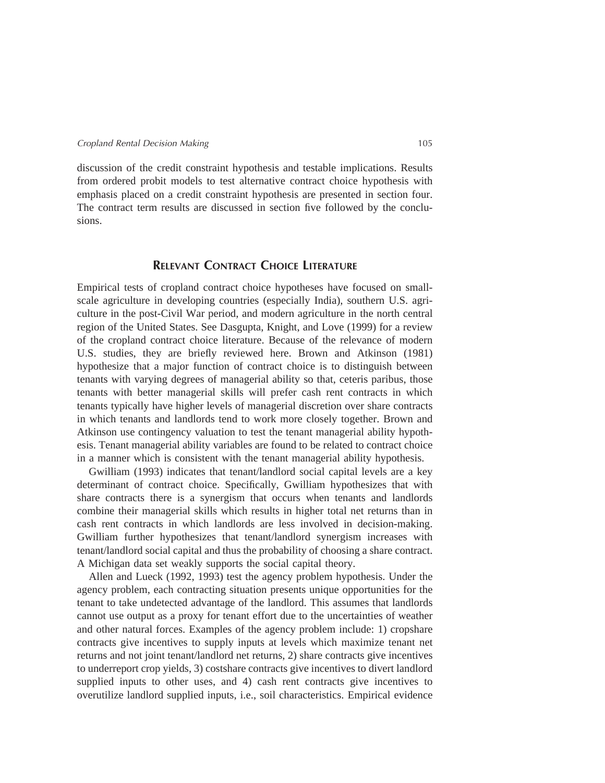discussion of the credit constraint hypothesis and testable implications. Results from ordered probit models to test alternative contract choice hypothesis with emphasis placed on a credit constraint hypothesis are presented in section four. The contract term results are discussed in section five followed by the conclusions.

# **RELEVANT CONTRACT CHOICE LITERATURE**

Empirical tests of cropland contract choice hypotheses have focused on smallscale agriculture in developing countries (especially India), southern U.S. agriculture in the post-Civil War period, and modern agriculture in the north central region of the United States. See Dasgupta, Knight, and Love (1999) for a review of the cropland contract choice literature. Because of the relevance of modern U.S. studies, they are briefly reviewed here. Brown and Atkinson (1981) hypothesize that a major function of contract choice is to distinguish between tenants with varying degrees of managerial ability so that, ceteris paribus, those tenants with better managerial skills will prefer cash rent contracts in which tenants typically have higher levels of managerial discretion over share contracts in which tenants and landlords tend to work more closely together. Brown and Atkinson use contingency valuation to test the tenant managerial ability hypothesis. Tenant managerial ability variables are found to be related to contract choice in a manner which is consistent with the tenant managerial ability hypothesis.

Gwilliam (1993) indicates that tenant/landlord social capital levels are a key determinant of contract choice. Specifically, Gwilliam hypothesizes that with share contracts there is a synergism that occurs when tenants and landlords combine their managerial skills which results in higher total net returns than in cash rent contracts in which landlords are less involved in decision-making. Gwilliam further hypothesizes that tenant/landlord synergism increases with tenant/landlord social capital and thus the probability of choosing a share contract. A Michigan data set weakly supports the social capital theory.

Allen and Lueck (1992, 1993) test the agency problem hypothesis. Under the agency problem, each contracting situation presents unique opportunities for the tenant to take undetected advantage of the landlord. This assumes that landlords cannot use output as a proxy for tenant effort due to the uncertainties of weather and other natural forces. Examples of the agency problem include: 1) cropshare contracts give incentives to supply inputs at levels which maximize tenant net returns and not joint tenant/landlord net returns, 2) share contracts give incentives to underreport crop yields, 3) costshare contracts give incentives to divert landlord supplied inputs to other uses, and 4) cash rent contracts give incentives to overutilize landlord supplied inputs, i.e., soil characteristics. Empirical evidence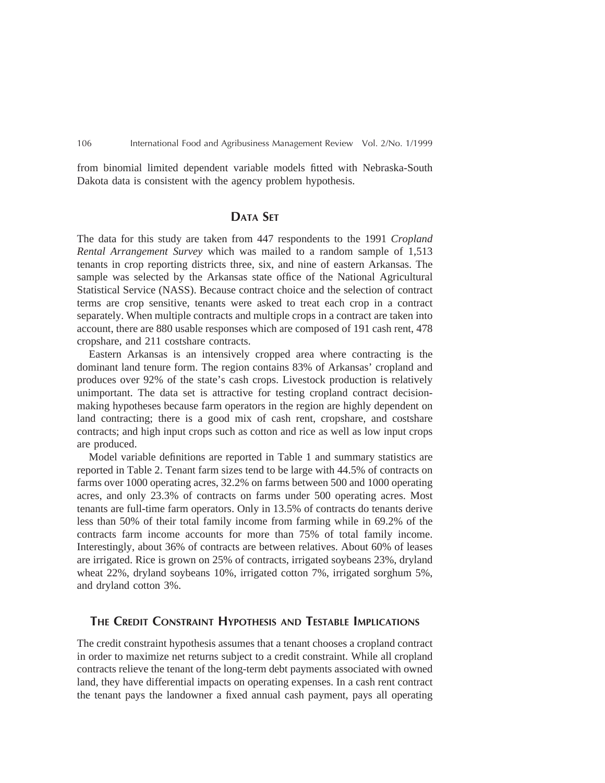from binomial limited dependent variable models fitted with Nebraska-South Dakota data is consistent with the agency problem hypothesis.

# **DATA SET**

The data for this study are taken from 447 respondents to the 1991 *Cropland Rental Arrangement Survey* which was mailed to a random sample of 1,513 tenants in crop reporting districts three, six, and nine of eastern Arkansas. The sample was selected by the Arkansas state office of the National Agricultural Statistical Service (NASS). Because contract choice and the selection of contract terms are crop sensitive, tenants were asked to treat each crop in a contract separately. When multiple contracts and multiple crops in a contract are taken into account, there are 880 usable responses which are composed of 191 cash rent, 478 cropshare, and 211 costshare contracts.

Eastern Arkansas is an intensively cropped area where contracting is the dominant land tenure form. The region contains 83% of Arkansas' cropland and produces over 92% of the state's cash crops. Livestock production is relatively unimportant. The data set is attractive for testing cropland contract decisionmaking hypotheses because farm operators in the region are highly dependent on land contracting; there is a good mix of cash rent, cropshare, and costshare contracts; and high input crops such as cotton and rice as well as low input crops are produced.

Model variable definitions are reported in Table 1 and summary statistics are reported in Table 2. Tenant farm sizes tend to be large with 44.5% of contracts on farms over 1000 operating acres, 32.2% on farms between 500 and 1000 operating acres, and only 23.3% of contracts on farms under 500 operating acres. Most tenants are full-time farm operators. Only in 13.5% of contracts do tenants derive less than 50% of their total family income from farming while in 69.2% of the contracts farm income accounts for more than 75% of total family income. Interestingly, about 36% of contracts are between relatives. About 60% of leases are irrigated. Rice is grown on 25% of contracts, irrigated soybeans 23%, dryland wheat 22%, dryland soybeans 10%, irrigated cotton 7%, irrigated sorghum 5%, and dryland cotton 3%.

## **THE CREDIT CONSTRAINT HYPOTHESIS AND TESTABLE IMPLICATIONS**

The credit constraint hypothesis assumes that a tenant chooses a cropland contract in order to maximize net returns subject to a credit constraint. While all cropland contracts relieve the tenant of the long-term debt payments associated with owned land, they have differential impacts on operating expenses. In a cash rent contract the tenant pays the landowner a fixed annual cash payment, pays all operating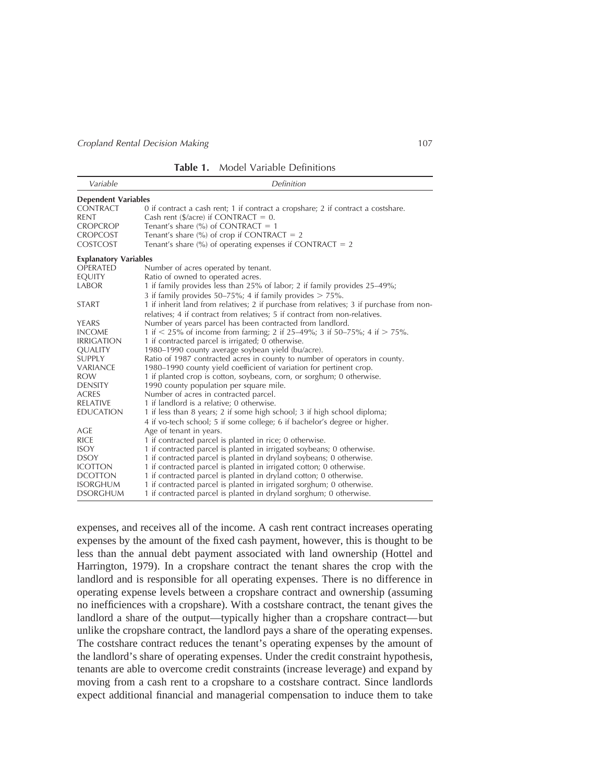| Variable                                                                           | Definition                                                                              |  |  |  |
|------------------------------------------------------------------------------------|-----------------------------------------------------------------------------------------|--|--|--|
| <b>Dependent Variables</b>                                                         |                                                                                         |  |  |  |
| <b>CONTRACT</b>                                                                    | 0 if contract a cash rent; 1 if contract a cropshare; 2 if contract a costshare.        |  |  |  |
| <b>RENT</b>                                                                        | Cash rent ( $\frac{s}{ace}$ ) if CONTRACT = 0.                                          |  |  |  |
| <b>CROPCROP</b>                                                                    | Tenant's share $\frac{9}{6}$ of CONTRACT = 1                                            |  |  |  |
| <b>CROPCOST</b>                                                                    | Tenant's share $\frac{9}{6}$ of crop if CONTRACT = 2                                    |  |  |  |
| <b>COSTCOST</b>                                                                    | Tenant's share $\frac{9}{6}$ of operating expenses if CONTRACT = 2                      |  |  |  |
| <b>Explanatory Variables</b>                                                       |                                                                                         |  |  |  |
| <b>OPERATED</b>                                                                    | Number of acres operated by tenant.                                                     |  |  |  |
| <b>EQUITY</b>                                                                      | Ratio of owned to operated acres.                                                       |  |  |  |
| 1 if family provides less than 25% of labor; 2 if family provides 25–49%;<br>LABOR |                                                                                         |  |  |  |
|                                                                                    | 3 if family provides $50-75\%$ ; 4 if family provides $> 75\%$ .                        |  |  |  |
| <b>START</b>                                                                       | 1 if inherit land from relatives; 2 if purchase from relatives; 3 if purchase from non- |  |  |  |
|                                                                                    | relatives; 4 if contract from relatives; 5 if contract from non-relatives.              |  |  |  |
| <b>YEARS</b>                                                                       | Number of years parcel has been contracted from landlord.                               |  |  |  |
| <b>INCOME</b>                                                                      | 1 if $\lt$ 25% of income from farming; 2 if 25–49%; 3 if 50–75%; 4 if $> 75$ %.         |  |  |  |
| <b>IRRIGATION</b>                                                                  | 1 if contracted parcel is irrigated; 0 otherwise.                                       |  |  |  |
| QUALITY                                                                            | 1980-1990 county average soybean yield (bu/acre).                                       |  |  |  |
| SUPPLY                                                                             | Ratio of 1987 contracted acres in county to number of operators in county.              |  |  |  |
| VARIANCE                                                                           | 1980–1990 county yield coefficient of variation for pertinent crop.                     |  |  |  |
| <b>ROW</b>                                                                         | 1 if planted crop is cotton, soybeans, corn, or sorghum; 0 otherwise.                   |  |  |  |
| <b>DENSITY</b>                                                                     | 1990 county population per square mile.                                                 |  |  |  |
| <b>ACRES</b>                                                                       | Number of acres in contracted parcel.                                                   |  |  |  |
| <b>RELATIVE</b>                                                                    | 1 if landlord is a relative; 0 otherwise.                                               |  |  |  |
| <b>EDUCATION</b>                                                                   | 1 if less than 8 years; 2 if some high school; 3 if high school diploma;                |  |  |  |
|                                                                                    | 4 if vo-tech school; 5 if some college; 6 if bachelor's degree or higher.               |  |  |  |
| AGE                                                                                | Age of tenant in years.                                                                 |  |  |  |
| <b>RICE</b>                                                                        | 1 if contracted parcel is planted in rice; 0 otherwise.                                 |  |  |  |
| <b>ISOY</b>                                                                        | 1 if contracted parcel is planted in irrigated soybeans; 0 otherwise.                   |  |  |  |
| <b>DSOY</b>                                                                        | 1 if contracted parcel is planted in dryland soybeans; 0 otherwise.                     |  |  |  |
| <b>ICOTTON</b>                                                                     | 1 if contracted parcel is planted in irrigated cotton; 0 otherwise.                     |  |  |  |
| <b>DCOTTON</b>                                                                     | 1 if contracted parcel is planted in dryland cotton; 0 otherwise.                       |  |  |  |
| <b>ISORGHUM</b>                                                                    | 1 if contracted parcel is planted in irrigated sorghum; 0 otherwise.                    |  |  |  |
| <b>DSORGHUM</b>                                                                    | 1 if contracted parcel is planted in dryland sorghum; 0 otherwise.                      |  |  |  |

**Table 1.** Model Variable Definitions

expenses, and receives all of the income. A cash rent contract increases operating expenses by the amount of the fixed cash payment, however, this is thought to be less than the annual debt payment associated with land ownership (Hottel and Harrington, 1979). In a cropshare contract the tenant shares the crop with the landlord and is responsible for all operating expenses. There is no difference in operating expense levels between a cropshare contract and ownership (assuming no inefficiences with a cropshare). With a costshare contract, the tenant gives the landlord a share of the output—typically higher than a cropshare contract—but unlike the cropshare contract, the landlord pays a share of the operating expenses. The costshare contract reduces the tenant's operating expenses by the amount of the landlord's share of operating expenses. Under the credit constraint hypothesis, tenants are able to overcome credit constraints (increase leverage) and expand by moving from a cash rent to a cropshare to a costshare contract. Since landlords expect additional financial and managerial compensation to induce them to take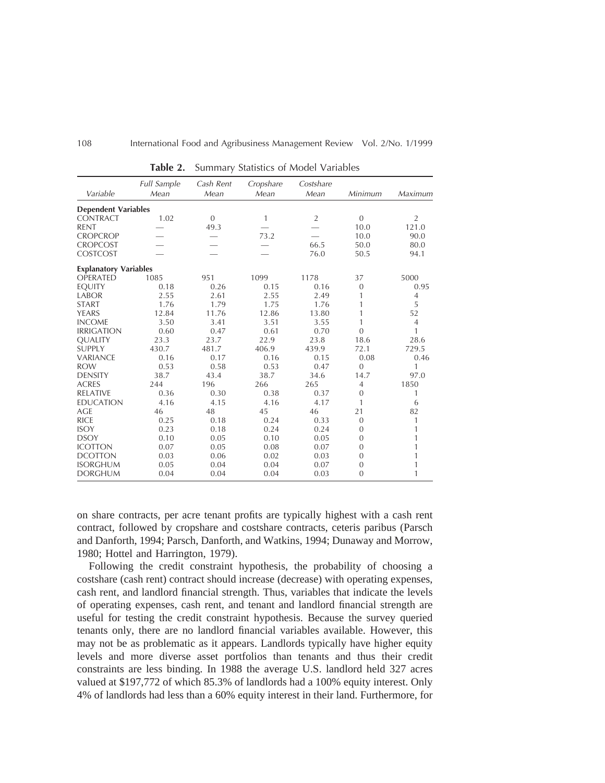| Variable                     | Full Sample<br>Mean | Cash Rent<br>Mean | Cropshare<br>Mean | Costshare<br>Mean | Minimum        | Maximum        |
|------------------------------|---------------------|-------------------|-------------------|-------------------|----------------|----------------|
| <b>Dependent Variables</b>   |                     |                   |                   |                   |                |                |
| <b>CONTRACT</b>              | 1.02                | $\overline{0}$    | 1                 | $\overline{2}$    | $\overline{0}$ | $\overline{2}$ |
| <b>RENT</b>                  |                     | 49.3              |                   |                   | 10.0           | 121.0          |
| <b>CROPCROP</b>              |                     |                   | 73.2              |                   | 10.0           | 90.0           |
| <b>CROPCOST</b>              |                     |                   |                   | 66.5              | 50.0           | 80.0           |
| <b>COSTCOST</b>              |                     |                   |                   | 76.0              | 50.5           | 94.1           |
| <b>Explanatory Variables</b> |                     |                   |                   |                   |                |                |
| <b>OPERATED</b>              | 1085                | 951               | 1099              | 1178              | 37             | 5000           |
| <b>EQUITY</b>                | 0.18                | 0.26              | 0.15              | 0.16              | $\mathbf{0}$   | 0.95           |
| <b>LABOR</b>                 | 2.55                | 2.61              | 2.55              | 2.49              | 1              | $\overline{4}$ |
| <b>START</b>                 | 1.76                | 1.79              | 1.75              | 1.76              | 1              | 5              |
| <b>YEARS</b>                 | 12.84               | 11.76             | 12.86             | 13.80             | 1              | 52             |
| <b>INCOME</b>                | 3.50                | 3.41              | 3.51              | 3.55              | $\mathbf{1}$   | $\overline{4}$ |
| <b>IRRIGATION</b>            | 0.60                | 0.47              | 0.61              | 0.70              | $\overline{0}$ | 1              |
| <b>OUALITY</b>               | 23.3                | 23.7              | 22.9              | 23.8              | 18.6           | 28.6           |
| <b>SUPPLY</b>                | 430.7               | 481.7             | 406.9             | 439.9             | 72.1           | 729.5          |
| <b>VARIANCE</b>              | 0.16                | 0.17              | 0.16              | 0.15              | 0.08           | 0.46           |
| <b>ROW</b>                   | 0.53                | 0.58              | 0.53              | 0.47              | $\Omega$       | 1              |
| <b>DENSITY</b>               | 38.7                | 43.4              | 38.7              | 34.6              | 14.7           | 97.0           |
| <b>ACRES</b>                 | 244                 | 196               | 266               | 265               | $\overline{4}$ | 1850           |
| <b>RELATIVE</b>              | 0.36                | 0.30              | 0.38              | 0.37              | $\overline{0}$ | 1              |
| <b>EDUCATION</b>             | 4.16                | 4.15              | 4.16              | 4.17              | 1              | 6              |
| <b>AGE</b>                   | 46                  | 48                | 45                | 46                | 21             | 82             |
| <b>RICE</b>                  | 0.25                | 0.18              | 0.24              | 0.33              | $\overline{0}$ | 1              |
| <b>ISOY</b>                  | 0.23                | 0.18              | 0.24              | 0.24              | $\overline{0}$ |                |
| <b>DSOY</b>                  | 0.10                | 0.05              | 0.10              | 0.05              | $\overline{0}$ |                |
| <b>ICOTTON</b>               | 0.07                | 0.05              | 0.08              | 0.07              | $\mathbf{0}$   |                |
| <b>DCOTTON</b>               | 0.03                | 0.06              | 0.02              | 0.03              | $\mathbf{0}$   |                |
| <b>ISORGHUM</b>              | 0.05                | 0.04              | 0.04              | 0.07              | $\mathbf{0}$   |                |
| <b>DORGHUM</b>               | 0.04                | 0.04              | 0.04              | 0.03              | $\overline{0}$ | 1              |

**Table 2.** Summary Statistics of Model Variables

on share contracts, per acre tenant profits are typically highest with a cash rent contract, followed by cropshare and costshare contracts, ceteris paribus (Parsch and Danforth, 1994; Parsch, Danforth, and Watkins, 1994; Dunaway and Morrow, 1980; Hottel and Harrington, 1979).

Following the credit constraint hypothesis, the probability of choosing a costshare (cash rent) contract should increase (decrease) with operating expenses, cash rent, and landlord financial strength. Thus, variables that indicate the levels of operating expenses, cash rent, and tenant and landlord financial strength are useful for testing the credit constraint hypothesis. Because the survey queried tenants only, there are no landlord financial variables available. However, this may not be as problematic as it appears. Landlords typically have higher equity levels and more diverse asset portfolios than tenants and thus their credit constraints are less binding. In 1988 the average U.S. landlord held 327 acres valued at \$197,772 of which 85.3% of landlords had a 100% equity interest. Only 4% of landlords had less than a 60% equity interest in their land. Furthermore, for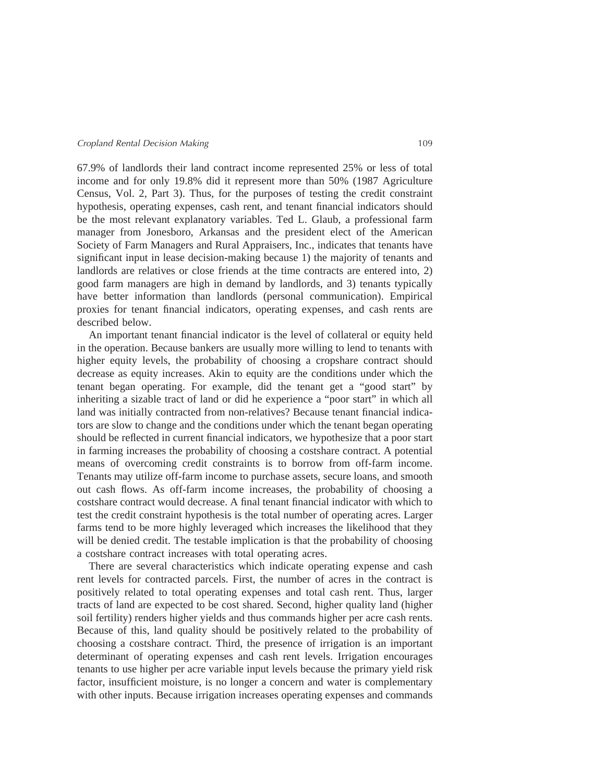67.9% of landlords their land contract income represented 25% or less of total income and for only 19.8% did it represent more than 50% (1987 Agriculture Census, Vol. 2, Part 3). Thus, for the purposes of testing the credit constraint hypothesis, operating expenses, cash rent, and tenant financial indicators should be the most relevant explanatory variables. Ted L. Glaub, a professional farm manager from Jonesboro, Arkansas and the president elect of the American Society of Farm Managers and Rural Appraisers, Inc., indicates that tenants have significant input in lease decision-making because 1) the majority of tenants and landlords are relatives or close friends at the time contracts are entered into, 2) good farm managers are high in demand by landlords, and 3) tenants typically have better information than landlords (personal communication). Empirical proxies for tenant financial indicators, operating expenses, and cash rents are described below.

An important tenant financial indicator is the level of collateral or equity held in the operation. Because bankers are usually more willing to lend to tenants with higher equity levels, the probability of choosing a cropshare contract should decrease as equity increases. Akin to equity are the conditions under which the tenant began operating. For example, did the tenant get a "good start" by inheriting a sizable tract of land or did he experience a "poor start" in which all land was initially contracted from non-relatives? Because tenant financial indicators are slow to change and the conditions under which the tenant began operating should be reflected in current financial indicators, we hypothesize that a poor start in farming increases the probability of choosing a costshare contract. A potential means of overcoming credit constraints is to borrow from off-farm income. Tenants may utilize off-farm income to purchase assets, secure loans, and smooth out cash flows. As off-farm income increases, the probability of choosing a costshare contract would decrease. A final tenant financial indicator with which to test the credit constraint hypothesis is the total number of operating acres. Larger farms tend to be more highly leveraged which increases the likelihood that they will be denied credit. The testable implication is that the probability of choosing a costshare contract increases with total operating acres.

There are several characteristics which indicate operating expense and cash rent levels for contracted parcels. First, the number of acres in the contract is positively related to total operating expenses and total cash rent. Thus, larger tracts of land are expected to be cost shared. Second, higher quality land (higher soil fertility) renders higher yields and thus commands higher per acre cash rents. Because of this, land quality should be positively related to the probability of choosing a costshare contract. Third, the presence of irrigation is an important determinant of operating expenses and cash rent levels. Irrigation encourages tenants to use higher per acre variable input levels because the primary yield risk factor, insufficient moisture, is no longer a concern and water is complementary with other inputs. Because irrigation increases operating expenses and commands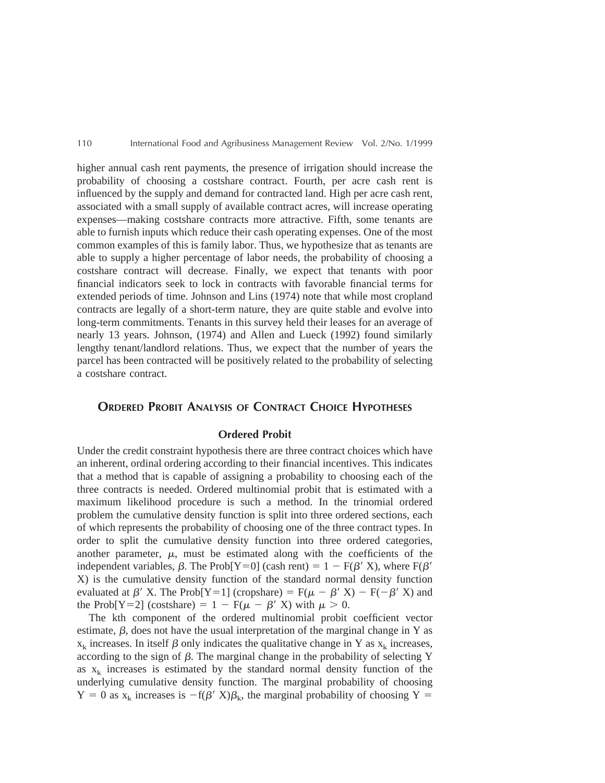higher annual cash rent payments, the presence of irrigation should increase the probability of choosing a costshare contract. Fourth, per acre cash rent is influenced by the supply and demand for contracted land. High per acre cash rent, associated with a small supply of available contract acres, will increase operating expenses—making costshare contracts more attractive. Fifth, some tenants are able to furnish inputs which reduce their cash operating expenses. One of the most common examples of this is family labor. Thus, we hypothesize that as tenants are able to supply a higher percentage of labor needs, the probability of choosing a costshare contract will decrease. Finally, we expect that tenants with poor financial indicators seek to lock in contracts with favorable financial terms for extended periods of time. Johnson and Lins (1974) note that while most cropland contracts are legally of a short-term nature, they are quite stable and evolve into long-term commitments. Tenants in this survey held their leases for an average of nearly 13 years. Johnson, (1974) and Allen and Lueck (1992) found similarly lengthy tenant/landlord relations. Thus, we expect that the number of years the parcel has been contracted will be positively related to the probability of selecting a costshare contract.

# **ORDERED PROBIT ANALYSIS OF CONTRACT CHOICE HYPOTHESES**

#### **Ordered Probit**

Under the credit constraint hypothesis there are three contract choices which have an inherent, ordinal ordering according to their financial incentives. This indicates that a method that is capable of assigning a probability to choosing each of the three contracts is needed. Ordered multinomial probit that is estimated with a maximum likelihood procedure is such a method. In the trinomial ordered problem the cumulative density function is split into three ordered sections, each of which represents the probability of choosing one of the three contract types. In order to split the cumulative density function into three ordered categories, another parameter,  $\mu$ , must be estimated along with the coefficients of the independent variables,  $\beta$ . The Prob[Y=0] (cash rent) = 1 - F( $\beta'$  X), where F( $\beta'$ X) is the cumulative density function of the standard normal density function evaluated at  $\beta'$  X. The Prob[Y=1] (cropshare) = F( $\mu - \beta'$  X) - F( $-\beta'$  X) and the Prob[Y=2] (costshare) =  $1 - F(\mu - \beta' X)$  with  $\mu > 0$ .

The kth component of the ordered multinomial probit coefficient vector estimate,  $\beta$ , does not have the usual interpretation of the marginal change in Y as  $x_k$  increases. In itself  $\beta$  only indicates the qualitative change in Y as  $x_k$  increases, according to the sign of  $\beta$ . The marginal change in the probability of selecting Y as  $x_k$  increases is estimated by the standard normal density function of the underlying cumulative density function. The marginal probability of choosing  $Y = 0$  as  $x_k$  increases is  $-f(\beta' X)\beta_k$ , the marginal probability of choosing Y =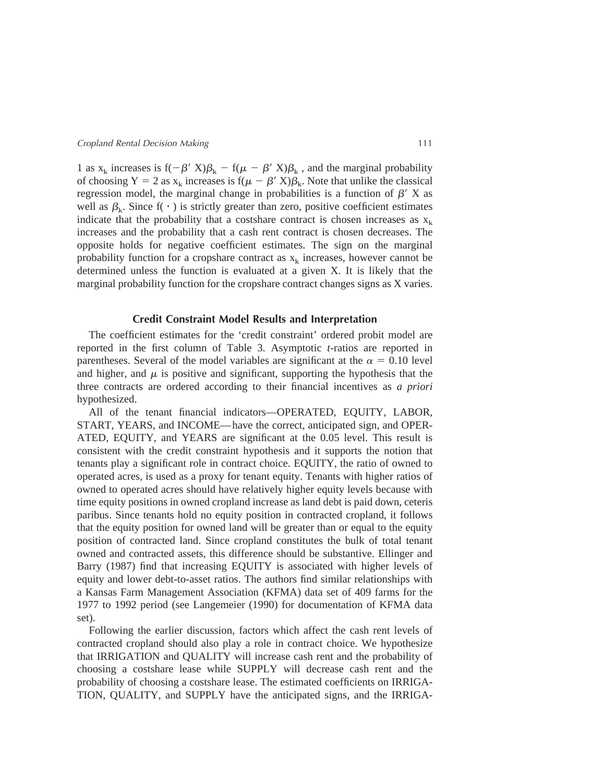1 as  $x_k$  increases is  $f(-\beta' X)\beta_k - f(\mu - \beta' X)\beta_k$ , and the marginal probability of choosing Y = 2 as  $x_k$  increases is  $f(\mu - \beta' X)\beta_k$ . Note that unlike the classical regression model, the marginal change in probabilities is a function of  $\beta'$  X as well as  $\beta_k$ . Since  $f(\cdot)$  is strictly greater than zero, positive coefficient estimates indicate that the probability that a costshare contract is chosen increases as  $x_k$ increases and the probability that a cash rent contract is chosen decreases. The opposite holds for negative coefficient estimates. The sign on the marginal probability function for a cropshare contract as  $x_k$  increases, however cannot be determined unless the function is evaluated at a given X. It is likely that the marginal probability function for the cropshare contract changes signs as X varies.

#### **Credit Constraint Model Results and Interpretation**

The coefficient estimates for the 'credit constraint' ordered probit model are reported in the first column of Table 3. Asymptotic *t*-ratios are reported in parentheses. Several of the model variables are significant at the  $\alpha = 0.10$  level and higher, and  $\mu$  is positive and significant, supporting the hypothesis that the three contracts are ordered according to their financial incentives as *a priori* hypothesized.

All of the tenant financial indicators—OPERATED, EQUITY, LABOR, START, YEARS, and INCOME—have the correct, anticipated sign, and OPER-ATED, EQUITY, and YEARS are significant at the 0.05 level. This result is consistent with the credit constraint hypothesis and it supports the notion that tenants play a significant role in contract choice. EQUITY, the ratio of owned to operated acres, is used as a proxy for tenant equity. Tenants with higher ratios of owned to operated acres should have relatively higher equity levels because with time equity positions in owned cropland increase as land debt is paid down, ceteris paribus. Since tenants hold no equity position in contracted cropland, it follows that the equity position for owned land will be greater than or equal to the equity position of contracted land. Since cropland constitutes the bulk of total tenant owned and contracted assets, this difference should be substantive. Ellinger and Barry (1987) find that increasing EQUITY is associated with higher levels of equity and lower debt-to-asset ratios. The authors find similar relationships with a Kansas Farm Management Association (KFMA) data set of 409 farms for the 1977 to 1992 period (see Langemeier (1990) for documentation of KFMA data set).

Following the earlier discussion, factors which affect the cash rent levels of contracted cropland should also play a role in contract choice. We hypothesize that IRRIGATION and QUALITY will increase cash rent and the probability of choosing a costshare lease while SUPPLY will decrease cash rent and the probability of choosing a costshare lease. The estimated coefficients on IRRIGA-TION, QUALITY, and SUPPLY have the anticipated signs, and the IRRIGA-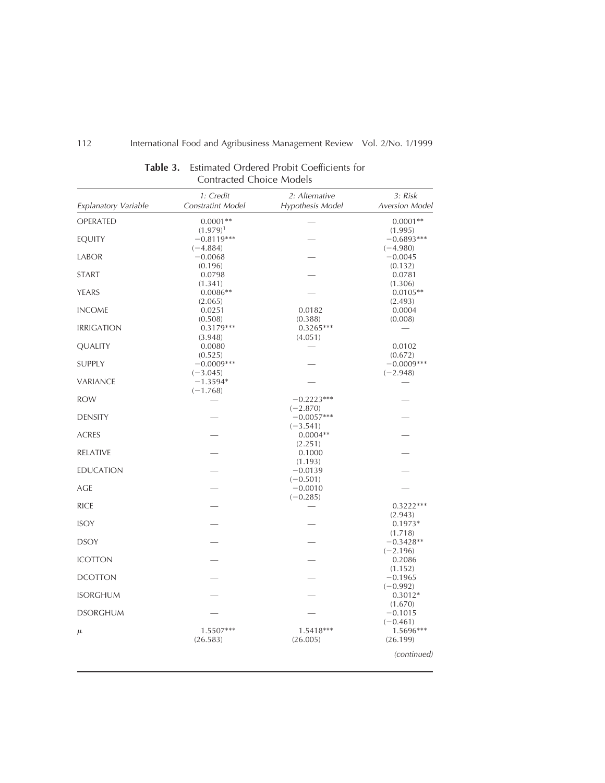|                      | 1: Credit               | 2: Alternative          | 3: Risk                 |
|----------------------|-------------------------|-------------------------|-------------------------|
| Explanatory Variable | Constratint Model       | <b>Hypothesis Model</b> | <b>Aversion Model</b>   |
| <b>OPERATED</b>      | $0.0001**$              |                         | $0.0001**$              |
|                      | $(1.979)^1$             |                         | (1.995)                 |
| <b>EQUITY</b>        | $-0.8119***$            |                         | $-0.6893***$            |
|                      | $(-4.884)$              |                         | $(-4.980)$              |
| <b>LABOR</b>         | $-0.0068$               |                         | $-0.0045$               |
| <b>START</b>         | (0.196)<br>0.0798       |                         | (0.132)<br>0.0781       |
|                      | (1.341)                 |                         | (1.306)                 |
| <b>YEARS</b>         | $0.0086**$              |                         | $0.0105**$              |
|                      | (2.065)                 |                         | (2.493)                 |
| <b>INCOME</b>        | 0.0251                  | 0.0182                  | 0.0004                  |
|                      | (0.508)                 | (0.388)                 | (0.008)                 |
| <b>IRRIGATION</b>    | $0.3179***$             | $0.3265***$             |                         |
|                      | (3.948)                 | (4.051)                 |                         |
| <b>QUALITY</b>       | 0.0080                  |                         | 0.0102                  |
| SUPPLY               | (0.525)<br>$-0.0009***$ |                         | (0.672)<br>$-0.0009***$ |
|                      | $(-3.045)$              |                         | $(-2.948)$              |
| VARIANCE             | $-1.3594*$              |                         |                         |
|                      | $(-1.768)$              |                         |                         |
| <b>ROW</b>           |                         | $-0.2223***$            |                         |
|                      |                         | $(-2.870)$              |                         |
| <b>DENSITY</b>       |                         | $-0.0057***$            |                         |
|                      |                         | $(-3.541)$              |                         |
| <b>ACRES</b>         |                         | $0.0004**$<br>(2.251)   |                         |
| <b>RELATIVE</b>      |                         | 0.1000                  |                         |
|                      |                         | (1.193)                 |                         |
| <b>EDUCATION</b>     |                         | $-0.0139$               |                         |
|                      |                         | $(-0.501)$              |                         |
| <b>AGE</b>           |                         | $-0.0010$               |                         |
|                      |                         | $(-0.285)$              |                         |
| <b>RICE</b>          |                         |                         | $0.3222***$             |
| <b>ISOY</b>          |                         |                         | (2.943)<br>$0.1973*$    |
|                      |                         |                         | (1.718)                 |
| <b>DSOY</b>          |                         |                         | $-0.3428**$             |
|                      |                         |                         | $(-2.196)$              |
| <b>ICOTTON</b>       |                         |                         | 0.2086                  |
|                      |                         |                         | (1.152)                 |
| <b>DCOTTON</b>       |                         |                         | $-0.1965$               |
| <b>ISORGHUM</b>      |                         |                         | $(-0.992)$<br>$0.3012*$ |
|                      |                         |                         | (1.670)                 |
| <b>DSORGHUM</b>      |                         |                         | $-0.1015$               |
|                      |                         |                         | $(-0.461)$              |
| μ                    | $1.5507***$             | $1.5418***$             | 1.5696***               |
|                      | (26.583)                | (26.005)                | (26.199)                |
|                      |                         |                         | (continued)             |

**Table 3.** Estimated Ordered Probit Coefficients for Contracted Choice Models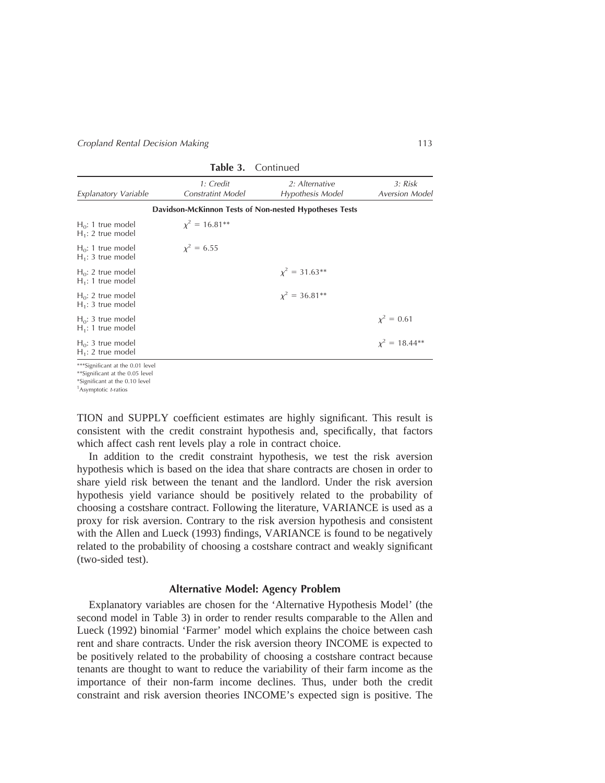| Explanatory Variable                         | 1: Credit<br><b>Constratint Model</b>                  | 2: Alternative<br><b>Hypothesis Model</b> | 3: Risk<br><b>Aversion Model</b> |
|----------------------------------------------|--------------------------------------------------------|-------------------------------------------|----------------------------------|
|                                              | Davidson-McKinnon Tests of Non-nested Hypotheses Tests |                                           |                                  |
| $H_0$ : 1 true model<br>$H_1$ : 2 true model | $x^2 = 16.81**$                                        |                                           |                                  |
| $H_0$ : 1 true model<br>$H_1: 3$ true model  | $x^2 = 6.55$                                           |                                           |                                  |
| $H_0$ : 2 true model<br>$H_1$ : 1 true model |                                                        | $x^2 = 31.63**$                           |                                  |
| $H_0$ : 2 true model<br>$H_1$ : 3 true model |                                                        | $\chi^2 = 36.81**$                        |                                  |
| $H_0$ : 3 true model<br>$H_1$ : 1 true model |                                                        |                                           | $x^2 = 0.61$                     |
| $H_0$ : 3 true model<br>$H_1$ : 2 true model |                                                        |                                           | $x^2 = 18.44**$                  |
| ***Significant at the 0.01 level             |                                                        |                                           |                                  |

**Table 3.** Continued

\*\*\*Significant at the 0.01 level \*\*Significant at the 0.05 level

\*Significant at the 0.10 level

 $1$ Asymptotic *t*-ratios

TION and SUPPLY coefficient estimates are highly significant. This result is consistent with the credit constraint hypothesis and, specifically, that factors which affect cash rent levels play a role in contract choice.

In addition to the credit constraint hypothesis, we test the risk aversion hypothesis which is based on the idea that share contracts are chosen in order to share yield risk between the tenant and the landlord. Under the risk aversion hypothesis yield variance should be positively related to the probability of choosing a costshare contract. Following the literature, VARIANCE is used as a proxy for risk aversion. Contrary to the risk aversion hypothesis and consistent with the Allen and Lueck (1993) findings, VARIANCE is found to be negatively related to the probability of choosing a costshare contract and weakly significant (two-sided test).

#### **Alternative Model: Agency Problem**

Explanatory variables are chosen for the 'Alternative Hypothesis Model' (the second model in Table 3) in order to render results comparable to the Allen and Lueck (1992) binomial 'Farmer' model which explains the choice between cash rent and share contracts. Under the risk aversion theory INCOME is expected to be positively related to the probability of choosing a costshare contract because tenants are thought to want to reduce the variability of their farm income as the importance of their non-farm income declines. Thus, under both the credit constraint and risk aversion theories INCOME's expected sign is positive. The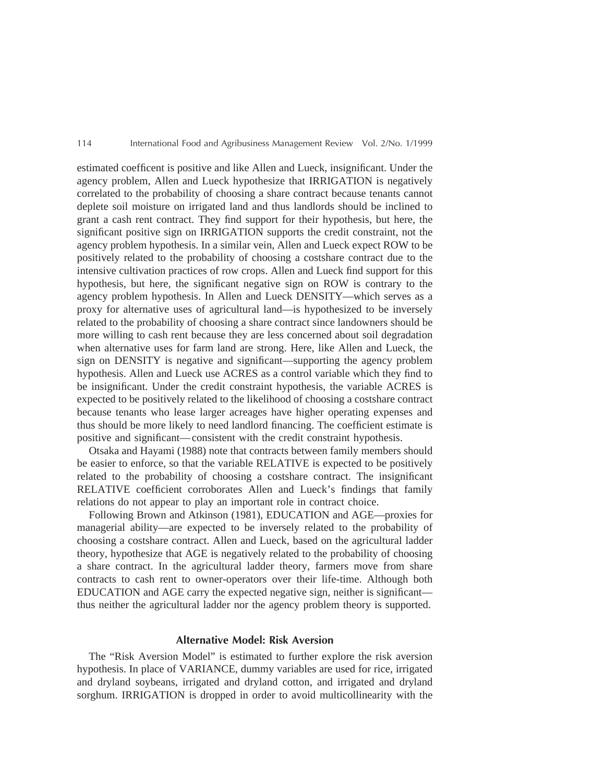estimated coefficent is positive and like Allen and Lueck, insignificant. Under the agency problem, Allen and Lueck hypothesize that IRRIGATION is negatively correlated to the probability of choosing a share contract because tenants cannot deplete soil moisture on irrigated land and thus landlords should be inclined to grant a cash rent contract. They find support for their hypothesis, but here, the significant positive sign on IRRIGATION supports the credit constraint, not the agency problem hypothesis. In a similar vein, Allen and Lueck expect ROW to be positively related to the probability of choosing a costshare contract due to the intensive cultivation practices of row crops. Allen and Lueck find support for this hypothesis, but here, the significant negative sign on ROW is contrary to the agency problem hypothesis. In Allen and Lueck DENSITY—which serves as a proxy for alternative uses of agricultural land—is hypothesized to be inversely related to the probability of choosing a share contract since landowners should be more willing to cash rent because they are less concerned about soil degradation when alternative uses for farm land are strong. Here, like Allen and Lueck, the sign on DENSITY is negative and significant—supporting the agency problem hypothesis. Allen and Lueck use ACRES as a control variable which they find to be insignificant. Under the credit constraint hypothesis, the variable ACRES is expected to be positively related to the likelihood of choosing a costshare contract because tenants who lease larger acreages have higher operating expenses and thus should be more likely to need landlord financing. The coefficient estimate is positive and significant—consistent with the credit constraint hypothesis.

Otsaka and Hayami (1988) note that contracts between family members should be easier to enforce, so that the variable RELATIVE is expected to be positively related to the probability of choosing a costshare contract. The insignificant RELATIVE coefficient corroborates Allen and Lueck's findings that family relations do not appear to play an important role in contract choice.

Following Brown and Atkinson (1981), EDUCATION and AGE—proxies for managerial ability—are expected to be inversely related to the probability of choosing a costshare contract. Allen and Lueck, based on the agricultural ladder theory, hypothesize that AGE is negatively related to the probability of choosing a share contract. In the agricultural ladder theory, farmers move from share contracts to cash rent to owner-operators over their life-time. Although both EDUCATION and AGE carry the expected negative sign, neither is significant thus neither the agricultural ladder nor the agency problem theory is supported.

## **Alternative Model: Risk Aversion**

The "Risk Aversion Model" is estimated to further explore the risk aversion hypothesis. In place of VARIANCE, dummy variables are used for rice, irrigated and dryland soybeans, irrigated and dryland cotton, and irrigated and dryland sorghum. IRRIGATION is dropped in order to avoid multicollinearity with the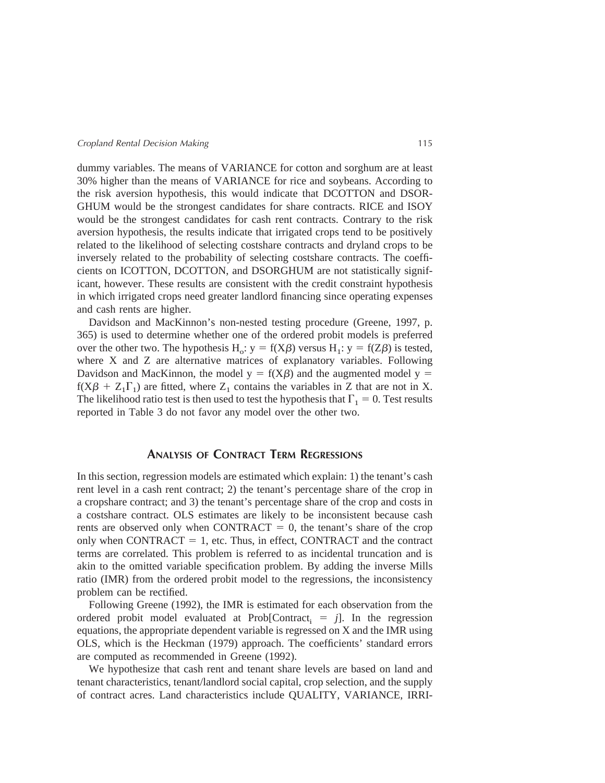dummy variables. The means of VARIANCE for cotton and sorghum are at least 30% higher than the means of VARIANCE for rice and soybeans. According to the risk aversion hypothesis, this would indicate that DCOTTON and DSOR-GHUM would be the strongest candidates for share contracts. RICE and ISOY would be the strongest candidates for cash rent contracts. Contrary to the risk aversion hypothesis, the results indicate that irrigated crops tend to be positively related to the likelihood of selecting costshare contracts and dryland crops to be inversely related to the probability of selecting costshare contracts. The coefficients on ICOTTON, DCOTTON, and DSORGHUM are not statistically significant, however. These results are consistent with the credit constraint hypothesis in which irrigated crops need greater landlord financing since operating expenses and cash rents are higher.

Davidson and MacKinnon's non-nested testing procedure (Greene, 1997, p. 365) is used to determine whether one of the ordered probit models is preferred over the other two. The hypothesis H<sub>o</sub>:  $y = f(X\beta)$  versus H<sub>1</sub>:  $y = f(Z\beta)$  is tested, where X and Z are alternative matrices of explanatory variables. Following Davidson and MacKinnon, the model  $y = f(X\beta)$  and the augmented model y =  $f(X\beta + Z_1\Gamma_1)$  are fitted, where  $Z_1$  contains the variables in Z that are not in X. The likelihood ratio test is then used to test the hypothesis that  $\Gamma_1 = 0$ . Test results reported in Table 3 do not favor any model over the other two.

# **ANALYSIS OF CONTRACT TERM REGRESSIONS**

In this section, regression models are estimated which explain: 1) the tenant's cash rent level in a cash rent contract; 2) the tenant's percentage share of the crop in a cropshare contract; and 3) the tenant's percentage share of the crop and costs in a costshare contract. OLS estimates are likely to be inconsistent because cash rents are observed only when CONTRACT  $= 0$ , the tenant's share of the crop only when CONTRACT  $= 1$ , etc. Thus, in effect, CONTRACT and the contract terms are correlated. This problem is referred to as incidental truncation and is akin to the omitted variable specification problem. By adding the inverse Mills ratio (IMR) from the ordered probit model to the regressions, the inconsistency problem can be rectified.

Following Greene (1992), the IMR is estimated for each observation from the ordered probit model evaluated at Prob[Contract<sub>i</sub> =  $j$ ]. In the regression equations, the appropriate dependent variable is regressed on X and the IMR using OLS, which is the Heckman (1979) approach. The coefficients' standard errors are computed as recommended in Greene (1992).

We hypothesize that cash rent and tenant share levels are based on land and tenant characteristics, tenant/landlord social capital, crop selection, and the supply of contract acres. Land characteristics include QUALITY, VARIANCE, IRRI-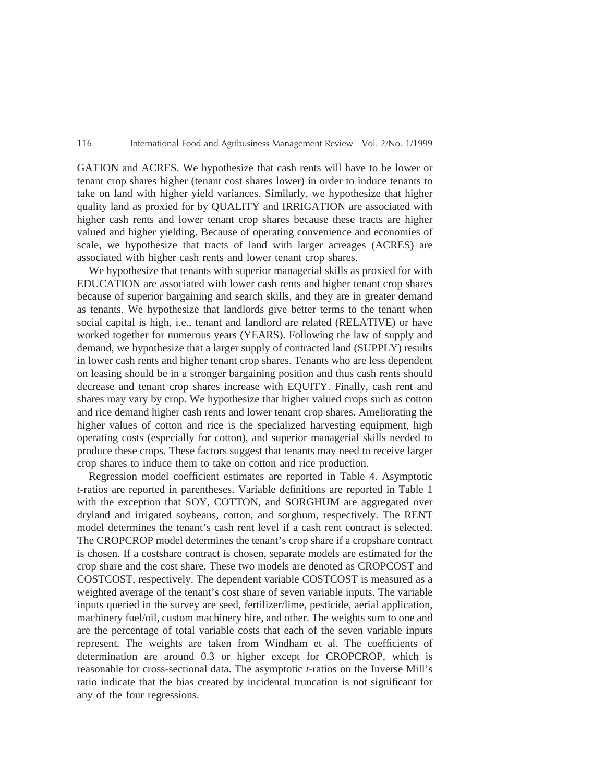GATION and ACRES. We hypothesize that cash rents will have to be lower or tenant crop shares higher (tenant cost shares lower) in order to induce tenants to take on land with higher yield variances. Similarly, we hypothesize that higher quality land as proxied for by QUALITY and IRRIGATION are associated with higher cash rents and lower tenant crop shares because these tracts are higher valued and higher yielding. Because of operating convenience and economies of scale, we hypothesize that tracts of land with larger acreages (ACRES) are associated with higher cash rents and lower tenant crop shares.

We hypothesize that tenants with superior managerial skills as proxied for with EDUCATION are associated with lower cash rents and higher tenant crop shares because of superior bargaining and search skills, and they are in greater demand as tenants. We hypothesize that landlords give better terms to the tenant when social capital is high, i.e., tenant and landlord are related (RELATIVE) or have worked together for numerous years (YEARS). Following the law of supply and demand, we hypothesize that a larger supply of contracted land (SUPPLY) results in lower cash rents and higher tenant crop shares. Tenants who are less dependent on leasing should be in a stronger bargaining position and thus cash rents should decrease and tenant crop shares increase with EQUITY. Finally, cash rent and shares may vary by crop. We hypothesize that higher valued crops such as cotton and rice demand higher cash rents and lower tenant crop shares. Ameliorating the higher values of cotton and rice is the specialized harvesting equipment, high operating costs (especially for cotton), and superior managerial skills needed to produce these crops. These factors suggest that tenants may need to receive larger crop shares to induce them to take on cotton and rice production.

Regression model coefficient estimates are reported in Table 4. Asymptotic *t*-ratios are reported in parentheses. Variable definitions are reported in Table 1 with the exception that SOY, COTTON, and SORGHUM are aggregated over dryland and irrigated soybeans, cotton, and sorghum, respectively. The RENT model determines the tenant's cash rent level if a cash rent contract is selected. The CROPCROP model determines the tenant's crop share if a cropshare contract is chosen. If a costshare contract is chosen, separate models are estimated for the crop share and the cost share. These two models are denoted as CROPCOST and COSTCOST, respectively. The dependent variable COSTCOST is measured as a weighted average of the tenant's cost share of seven variable inputs. The variable inputs queried in the survey are seed, fertilizer/lime, pesticide, aerial application, machinery fuel/oil, custom machinery hire, and other. The weights sum to one and are the percentage of total variable costs that each of the seven variable inputs represent. The weights are taken from Windham et al. The coefficients of determination are around 0.3 or higher except for CROPCROP, which is reasonable for cross-sectional data. The asymptotic *t*-ratios on the Inverse Mill's ratio indicate that the bias created by incidental truncation is not significant for any of the four regressions.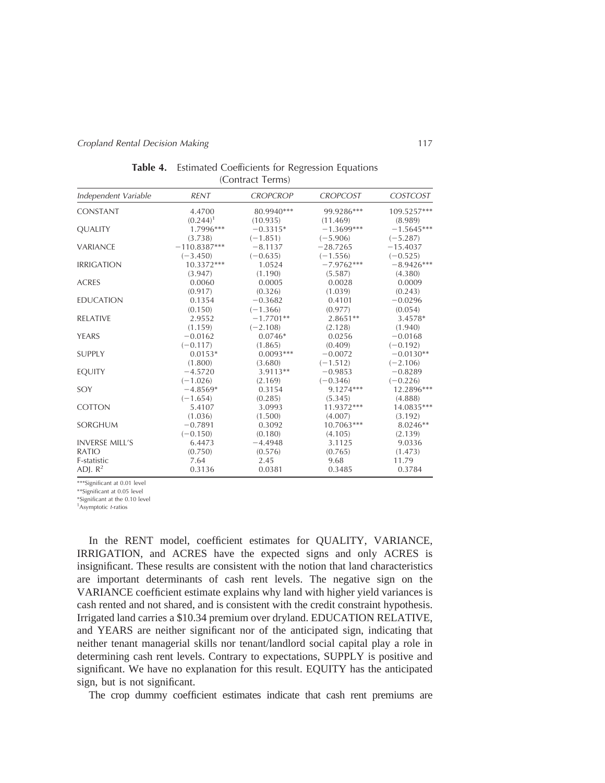|                       | (CONTRACT TENTIS) |                 |                 |                 |  |
|-----------------------|-------------------|-----------------|-----------------|-----------------|--|
| Independent Variable  | <b>RENT</b>       | <b>CROPCROP</b> | <b>CROPCOST</b> | <b>COSTCOST</b> |  |
| <b>CONSTANT</b>       | 4.4700            | 80.9940***      | 99.9286***      | 109.5257***     |  |
|                       | $(0.244)^1$       | (10.935)        | (11.469)        | (8.989)         |  |
| <b>QUALITY</b>        | 1.7996***         | $-0.3315*$      | $-1.3699***$    | $-1.5645***$    |  |
|                       | (3.738)           | $(-1.851)$      | $(-5.906)$      | $(-5.287)$      |  |
| <b>VARIANCE</b>       | $-110.8387***$    | $-8.1137$       | $-28.7265$      | $-15.4037$      |  |
|                       | $(-3.450)$        | $(-0.635)$      | $(-1.556)$      | $(-0.525)$      |  |
| <b>IRRIGATION</b>     | 10.3372***        | 1.0524          | $-7.9762***$    | $-8.9426***$    |  |
|                       | (3.947)           | (1.190)         | (5.587)         | (4.380)         |  |
| <b>ACRES</b>          | 0.0060            | 0.0005          | 0.0028          | 0.0009          |  |
|                       | (0.917)           | (0.326)         | (1.039)         | (0.243)         |  |
| <b>EDUCATION</b>      | 0.1354            | $-0.3682$       | 0.4101          | $-0.0296$       |  |
|                       | (0.150)           | $(-1.366)$      | (0.977)         | (0.054)         |  |
| <b>RELATIVE</b>       | 2.9552            | $-1.7701**$     | 2.8651**        | 3.4578*         |  |
|                       | (1.159)           | $(-2.108)$      | (2.128)         | (1.940)         |  |
| <b>YEARS</b>          | $-0.0162$         | $0.0746*$       | 0.0256          | $-0.0168$       |  |
|                       | $(-0.117)$        | (1.865)         | (0.409)         | $(-0.192)$      |  |
| <b>SUPPLY</b>         | $0.0153*$         | $0.0093***$     | $-0.0072$       | $-0.0130**$     |  |
|                       | (1.800)           | (3.680)         | $(-1.512)$      | $(-2.106)$      |  |
| <b>EQUITY</b>         | $-4.5720$         | 3.9113**        | $-0.9853$       | $-0.8289$       |  |
|                       | $(-1.026)$        | (2.169)         | $(-0.346)$      | $(-0.226)$      |  |
| SOY                   | $-4.8569*$        | 0.3154          | 9.1274***       | 12.2896***      |  |
|                       | $(-1.654)$        | (0.285)         | (5.345)         | (4.888)         |  |
| <b>COTTON</b>         | 5.4107            | 3.0993          | 11.9372***      | 14.0835***      |  |
|                       | (1.036)           | (1.500)         | (4.007)         | (3.192)         |  |
| SORGHUM               | $-0.7891$         | 0.3092          | $10.7063***$    | 8.0246**        |  |
|                       | $(-0.150)$        | (0.180)         | (4.105)         | (2.139)         |  |
| <b>INVERSE MILL'S</b> | 6.4473            | $-4.4948$       | 3.1125          | 9.0336          |  |
| <b>RATIO</b>          | (0.750)           | (0.576)         | (0.765)         | (1.473)         |  |
| F-statistic           | 7.64              | 2.45            | 9.68            | 11.79           |  |
| ADJ. $R^2$            | 0.3136            | 0.0381          | 0.3485          | 0.3784          |  |

**Table 4.** Estimated Coefficients for Regression Equations (Contract Terms)

\*\*\*Significant at 0.01 level

\*\*Significant at 0.05 level

\*Significant at the 0.10 level

<sup>1</sup>Asymptotic *t*-ratios

In the RENT model, coefficient estimates for QUALITY, VARIANCE, IRRIGATION, and ACRES have the expected signs and only ACRES is insignificant. These results are consistent with the notion that land characteristics are important determinants of cash rent levels. The negative sign on the VARIANCE coefficient estimate explains why land with higher yield variances is cash rented and not shared, and is consistent with the credit constraint hypothesis. Irrigated land carries a \$10.34 premium over dryland. EDUCATION RELATIVE, and YEARS are neither significant nor of the anticipated sign, indicating that neither tenant managerial skills nor tenant/landlord social capital play a role in determining cash rent levels. Contrary to expectations, SUPPLY is positive and significant. We have no explanation for this result. EQUITY has the anticipated sign, but is not significant.

The crop dummy coefficient estimates indicate that cash rent premiums are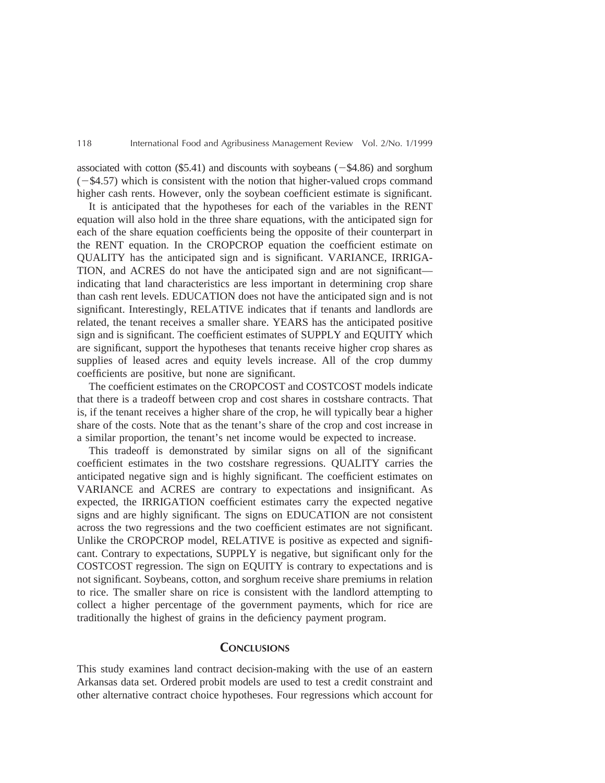associated with cotton  $(\$5.41)$  and discounts with soybeans  $(-\$4.86)$  and sorghum  $(-\$4.57)$  which is consistent with the notion that higher-valued crops command higher cash rents. However, only the soybean coefficient estimate is significant.

It is anticipated that the hypotheses for each of the variables in the RENT equation will also hold in the three share equations, with the anticipated sign for each of the share equation coefficients being the opposite of their counterpart in the RENT equation. In the CROPCROP equation the coefficient estimate on QUALITY has the anticipated sign and is significant. VARIANCE, IRRIGA-TION, and ACRES do not have the anticipated sign and are not significant indicating that land characteristics are less important in determining crop share than cash rent levels. EDUCATION does not have the anticipated sign and is not significant. Interestingly, RELATIVE indicates that if tenants and landlords are related, the tenant receives a smaller share. YEARS has the anticipated positive sign and is significant. The coefficient estimates of SUPPLY and EQUITY which are significant, support the hypotheses that tenants receive higher crop shares as supplies of leased acres and equity levels increase. All of the crop dummy coefficients are positive, but none are significant.

The coefficient estimates on the CROPCOST and COSTCOST models indicate that there is a tradeoff between crop and cost shares in costshare contracts. That is, if the tenant receives a higher share of the crop, he will typically bear a higher share of the costs. Note that as the tenant's share of the crop and cost increase in a similar proportion, the tenant's net income would be expected to increase.

This tradeoff is demonstrated by similar signs on all of the significant coefficient estimates in the two costshare regressions. QUALITY carries the anticipated negative sign and is highly significant. The coefficient estimates on VARIANCE and ACRES are contrary to expectations and insignificant. As expected, the IRRIGATION coefficient estimates carry the expected negative signs and are highly significant. The signs on EDUCATION are not consistent across the two regressions and the two coefficient estimates are not significant. Unlike the CROPCROP model, RELATIVE is positive as expected and significant. Contrary to expectations, SUPPLY is negative, but significant only for the COSTCOST regression. The sign on EQUITY is contrary to expectations and is not significant. Soybeans, cotton, and sorghum receive share premiums in relation to rice. The smaller share on rice is consistent with the landlord attempting to collect a higher percentage of the government payments, which for rice are traditionally the highest of grains in the deficiency payment program.

#### **CONCLUSIONS**

This study examines land contract decision-making with the use of an eastern Arkansas data set. Ordered probit models are used to test a credit constraint and other alternative contract choice hypotheses. Four regressions which account for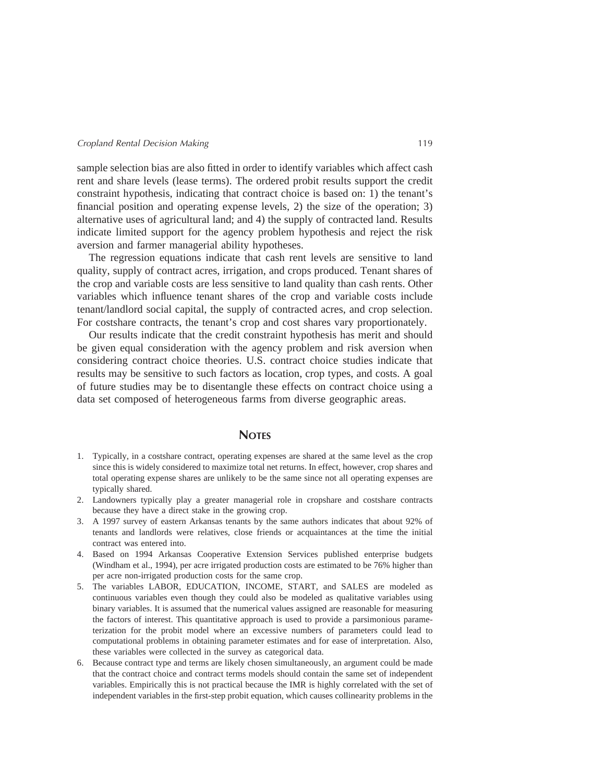sample selection bias are also fitted in order to identify variables which affect cash rent and share levels (lease terms). The ordered probit results support the credit constraint hypothesis, indicating that contract choice is based on: 1) the tenant's financial position and operating expense levels, 2) the size of the operation; 3) alternative uses of agricultural land; and 4) the supply of contracted land. Results indicate limited support for the agency problem hypothesis and reject the risk aversion and farmer managerial ability hypotheses.

The regression equations indicate that cash rent levels are sensitive to land quality, supply of contract acres, irrigation, and crops produced. Tenant shares of the crop and variable costs are less sensitive to land quality than cash rents. Other variables which influence tenant shares of the crop and variable costs include tenant/landlord social capital, the supply of contracted acres, and crop selection. For costshare contracts, the tenant's crop and cost shares vary proportionately.

Our results indicate that the credit constraint hypothesis has merit and should be given equal consideration with the agency problem and risk aversion when considering contract choice theories. U.S. contract choice studies indicate that results may be sensitive to such factors as location, crop types, and costs. A goal of future studies may be to disentangle these effects on contract choice using a data set composed of heterogeneous farms from diverse geographic areas.

## **NOTES**

- 1. Typically, in a costshare contract, operating expenses are shared at the same level as the crop since this is widely considered to maximize total net returns. In effect, however, crop shares and total operating expense shares are unlikely to be the same since not all operating expenses are typically shared.
- 2. Landowners typically play a greater managerial role in cropshare and costshare contracts because they have a direct stake in the growing crop.
- 3. A 1997 survey of eastern Arkansas tenants by the same authors indicates that about 92% of tenants and landlords were relatives, close friends or acquaintances at the time the initial contract was entered into.
- 4. Based on 1994 Arkansas Cooperative Extension Services published enterprise budgets (Windham et al., 1994), per acre irrigated production costs are estimated to be 76% higher than per acre non-irrigated production costs for the same crop.
- 5. The variables LABOR, EDUCATION, INCOME, START, and SALES are modeled as continuous variables even though they could also be modeled as qualitative variables using binary variables. It is assumed that the numerical values assigned are reasonable for measuring the factors of interest. This quantitative approach is used to provide a parsimonious parameterization for the probit model where an excessive numbers of parameters could lead to computational problems in obtaining parameter estimates and for ease of interpretation. Also, these variables were collected in the survey as categorical data.
- 6. Because contract type and terms are likely chosen simultaneously, an argument could be made that the contract choice and contract terms models should contain the same set of independent variables. Empirically this is not practical because the IMR is highly correlated with the set of independent variables in the first-step probit equation, which causes collinearity problems in the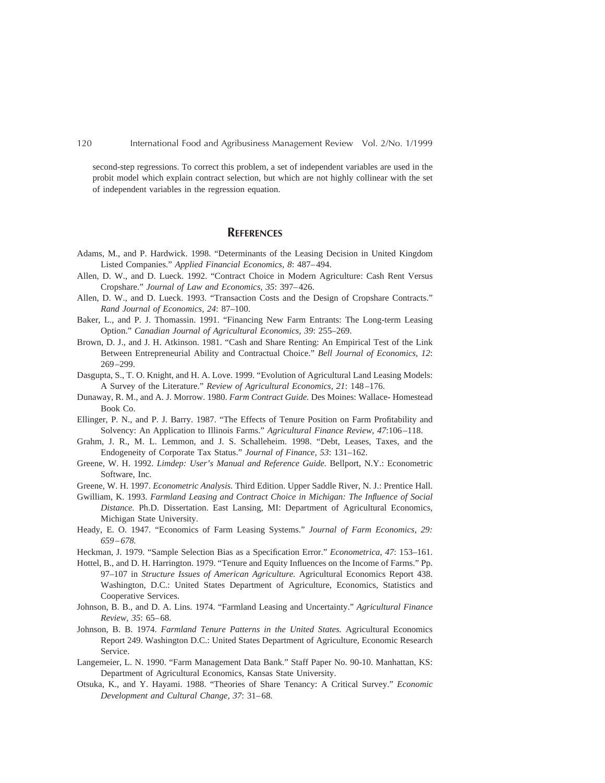second-step regressions. To correct this problem, a set of independent variables are used in the probit model which explain contract selection, but which are not highly collinear with the set of independent variables in the regression equation.

#### **REFERENCES**

- Adams, M., and P. Hardwick. 1998. "Determinants of the Leasing Decision in United Kingdom Listed Companies." *Applied Financial Economics, 8*: 487–494.
- Allen, D. W., and D. Lueck. 1992. "Contract Choice in Modern Agriculture: Cash Rent Versus Cropshare." *Journal of Law and Economics, 35*: 397–426.
- Allen, D. W., and D. Lueck. 1993. "Transaction Costs and the Design of Cropshare Contracts." *Rand Journal of Economics, 24*: 87–100.
- Baker, L., and P. J. Thomassin. 1991. "Financing New Farm Entrants: The Long-term Leasing Option." *Canadian Journal of Agricultural Economics, 39*: 255–269.
- Brown, D. J., and J. H. Atkinson. 1981. "Cash and Share Renting: An Empirical Test of the Link Between Entrepreneurial Ability and Contractual Choice." *Bell Journal of Economics, 12*: 269–299.
- Dasgupta, S., T. O. Knight, and H. A. Love. 1999. "Evolution of Agricultural Land Leasing Models: A Survey of the Literature." *Review of Agricultural Economics, 21*: 148–176.
- Dunaway, R. M., and A. J. Morrow. 1980. *Farm Contract Guide.* Des Moines: Wallace- Homestead Book Co.
- Ellinger, P. N., and P. J. Barry. 1987. "The Effects of Tenure Position on Farm Profitability and Solvency: An Application to Illinois Farms." *Agricultural Finance Review, 47*:106–118.
- Grahm, J. R., M. L. Lemmon, and J. S. Schalleheim. 1998. "Debt, Leases, Taxes, and the Endogeneity of Corporate Tax Status." *Journal of Finance, 53*: 131–162.
- Greene, W. H. 1992. *Limdep: User's Manual and Reference Guide.* Bellport, N.Y.: Econometric Software, Inc.
- Greene, W. H. 1997. *Econometric Analysis.* Third Edition. Upper Saddle River, N. J.: Prentice Hall.
- Gwilliam, K. 1993. *Farmland Leasing and Contract Choice in Michigan: The Influence of Social Distance.* Ph.D. Dissertation. East Lansing, MI: Department of Agricultural Economics, Michigan State University.
- Heady, E. O. 1947. "Economics of Farm Leasing Systems." *Journal of Farm Economics, 29: 659–678.*
- Heckman, J. 1979. "Sample Selection Bias as a Specification Error." *Econometrica, 47*: 153–161.
- Hottel, B., and D. H. Harrington. 1979. "Tenure and Equity Influences on the Income of Farms." Pp. 97–107 in *Structure Issues of American Agriculture.* Agricultural Economics Report 438. Washington, D.C.: United States Department of Agriculture, Economics, Statistics and Cooperative Services.
- Johnson, B. B., and D. A. Lins. 1974. "Farmland Leasing and Uncertainty." *Agricultural Finance Review, 35*: 65–68.
- Johnson, B. B. 1974. *Farmland Tenure Patterns in the United States.* Agricultural Economics Report 249. Washington D.C.: United States Department of Agriculture, Economic Research Service.
- Langemeier, L. N. 1990. "Farm Management Data Bank." Staff Paper No. 90-10. Manhattan, KS: Department of Agricultural Economics, Kansas State University.
- Otsuka, K., and Y. Hayami. 1988. "Theories of Share Tenancy: A Critical Survey." *Economic Development and Cultural Change, 37*: 31–68.